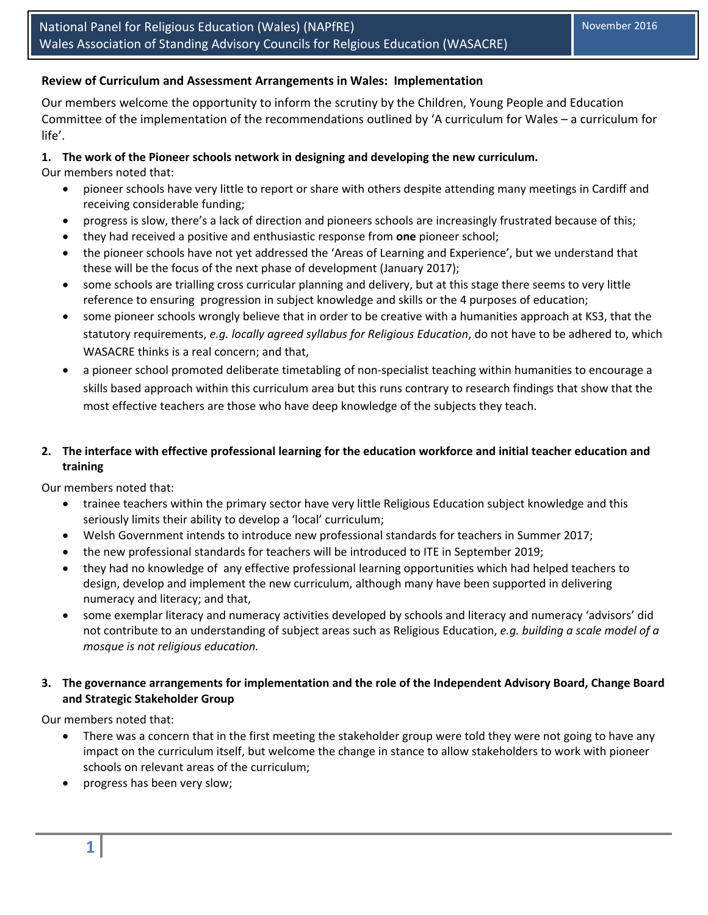### **Review of Curriculum and Assessment Arrangements in Wales: Implementation**

Our members welcome the opportunity to inform the scrutiny by the Children, Young People and Education Committee of the implementation of the recommendations outlined by 'A curriculum for Wales – a curriculum for life'.

#### **1. The work of the Pioneer schools network in designing and developing the new curriculum.**

Our members noted that:

- pioneer schools have very little to report or share with others despite attending many meetings in Cardiff and receiving considerable funding;
- progress is slow, there's a lack of direction and pioneers schools are increasingly frustrated because of this;
- they had received a positive and enthusiastic response from **one** pioneer school;
- the pioneer schools have not yet addressed the 'Areas of Learning and Experience', but we understand that these will be the focus of the next phase of development (January 2017);
- some schools are trialling cross curricular planning and delivery, but at this stage there seems to very little reference to ensuring progression in subject knowledge and skills or the 4 purposes of education;
- some pioneer schools wrongly believe that in order to be creative with a humanities approach at KS3, that the statutory requirements, *e.g. locally agreed syllabus for Religious Education*, do not have to be adhered to, which WASACRE thinks is a real concern; and that,
- a pioneer school promoted deliberate timetabling of non-specialist teaching within humanities to encourage a skills based approach within this curriculum area but this runs contrary to research findings that show that the most effective teachers are those who have deep knowledge of the subjects they teach.

# 2. The interface with effective professional learning for the education workforce and initial teacher education and **training**

Our members noted that:

- trainee teachers within the primary sector have very little Religious Education subject knowledge and this seriously limits their ability to develop a 'local' curriculum;
- Welsh Government intends to introduce new professional standards for teachers in Summer 2017;
- the new professional standards for teachers will be introduced to ITE in September 2019;
- they had no knowledge of any effective professional learning opportunities which had helped teachers to design, develop and implement the new curriculum, although many have been supported in delivering numeracy and literacy; and that,
- some exemplar literacy and numeracy activities developed by schools and literacy and numeracy 'advisors' did not contribute to an understanding of subject areas such as Religious Education, *e.g. building a scale model of a mosque is not religious education.*

## **3. The governance arrangements for implementation and the role of the Independent Advisory Board, Change Board and Strategic Stakeholder Group**

Our members noted that:

- There was a concern that in the first meeting the stakeholder group were told they were not going to have any impact on the curriculum itself, but welcome the change in stance to allow stakeholders to work with pioneer schools on relevant areas of the curriculum;
- progress has been very slow;